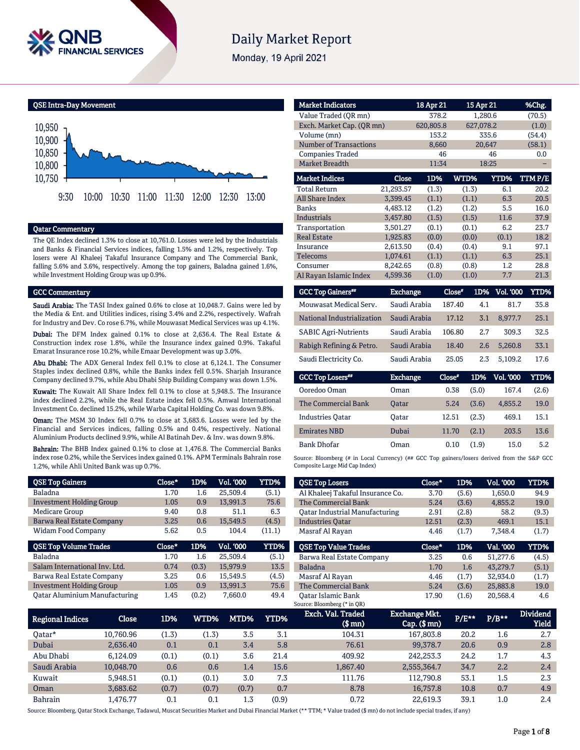

# **Daily Market Report**

Monday, 19 April 2021



### Qatar Commentary

The QE Index declined 1.3% to close at 10,761.0. Losses were led by the Industrials and Banks & Financial Services indices, falling 1.5% and 1.2%, respectively. Top losers were Al Khaleej Takaful Insurance Company and The Commercial Bank, falling 5.6% and 3.6%, respectively. Among the top gainers, Baladna gained 1.6%, while Investment Holding Group was up 0.9%.

#### GCC Commentary

Saudi Arabia: The TASI Index gained 0.6% to close at 10,048.7. Gains were led by the Media & Ent. and Utilities indices, rising 3.4% and 2.2%, respectively. Wafrah for Industry and Dev. Co rose 6.7%, while Mouwasat Medical Services was up 4.1%.

Dubai: The DFM Index gained 0.1% to close at 2,636.4. The Real Estate & Construction index rose 1.8%, while the Insurance index gained 0.9%. Takaful Emarat Insurance rose 10.2%, while Emaar Development was up 3.0%.

Abu Dhabi: The ADX General Index fell 0.1% to close at 6,124.1. The Consumer Staples index declined 0.8%, while the Banks index fell 0.5%. Sharjah Insurance Company declined 9.7%, while Abu Dhabi Ship Building Company was down 1.5%.

Kuwait: The Kuwait All Share Index fell 0.1% to close at 5,948.5. The Insurance index declined 2.2%, while the Real Estate index fell 0.5%. Amwal International Investment Co. declined 15.2%, while Warba Capital Holding Co. was down 9.8%.

Oman: The MSM 30 Index fell 0.7% to close at 3,683.6. Losses were led by the Financial and Services indices, falling 0.5% and 0.4%, respectively. National Aluminium Products declined 9.9%, while Al Batinah Dev. & Inv. was down 9.8%.

Bahrain: The BHB Index gained 0.1% to close at 1,476.8. The Commercial Banks index rose 0.2%, while the Services index gained 0.1%. APM Terminals Bahrain rose 1.2%, while Ahli United Bank was up 0.7%.

| <b>QSE Top Gainers</b>           | Close* | 1D%   | <b>Vol. '000</b> | YTD%        |
|----------------------------------|--------|-------|------------------|-------------|
| <b>Baladna</b>                   | 1.70   | 1.6   | 25.509.4         | (5.1)       |
| <b>Investment Holding Group</b>  | 1.05   | 0.9   | 13,991.3         | 75.6        |
| Medicare Group                   | 9.40   | 0.8   | 51.1             | 6.3         |
| <b>Barwa Real Estate Company</b> | 3.25   | 0.6   | 15.549.5         | (4.5)       |
| <b>Widam Food Company</b>        | 5.62   | 0.5   | 104.4            | (11.1)      |
|                                  |        |       |                  |             |
| <b>QSE Top Volume Trades</b>     | Close* | 1D%   | <b>Vol. '000</b> | <b>YTD%</b> |
| <b>Baladna</b>                   | 1.70   | 1.6   | 25.509.4         | (5.1)       |
| Salam International Inv. Ltd.    | 0.74   | (0.3) | 15,979.9         | 13.5        |
| Barwa Real Estate Company        | 3.25   | 0.6   | 15.549.5         | (4.5)       |
| <b>Investment Holding Group</b>  | 1.05   | 0.9   | 13,991.3         | 75.6        |

| <b>Market Indicators</b>      |                 | 18 Apr 21 | 15 Apr 21     |                  | %Chg.       |
|-------------------------------|-----------------|-----------|---------------|------------------|-------------|
| Value Traded (OR mn)          |                 | 378.2     | 1,280.6       |                  | (70.5)      |
| Exch. Market Cap. (QR mn)     |                 | 620,805.8 | 627,078.2     |                  | (1.0)       |
| Volume (mn)                   |                 | 153.2     | 335.6         |                  | (54.4)      |
| <b>Number of Transactions</b> |                 | 8,660     | 20,647        |                  | (58.1)      |
| <b>Companies Traded</b>       |                 | 46        |               | 46               | 0.0         |
| <b>Market Breadth</b>         |                 | 11:34     | 18:25         |                  |             |
| <b>Market Indices</b>         | <b>Close</b>    | 1D%       | WTD%          | YTD%             | TTMP/E      |
| <b>Total Return</b>           | 21,293.57       | (1.3)     | (1.3)         | 6.1              | 20.2        |
| <b>All Share Index</b>        | 3,399.45        | (1.1)     | (1.1)         | 6.3              | 20.5        |
| <b>Banks</b>                  | 4,483.12        | (1.2)     | (1.2)         | 5.5              | 16.0        |
| <b>Industrials</b>            | 3,457.80        | (1.5)     | (1.5)         | 11.6             | 37.9        |
| Transportation                | 3,501.27        | (0.1)     | (0.1)         | 6.2              | 23.7        |
| <b>Real Estate</b>            | 1,925.83        | (0.0)     | (0.0)         | (0.1)            | 18.2        |
| Insurance                     | 2,613.50        | (0.4)     | (0.4)         | 9.1              | 97.1        |
| <b>Telecoms</b>               | 1,074.61        | (1.1)     | (1.1)         | 6.3              | 25.1        |
| Consumer                      | 8,242.65        | (0.8)     | (0.8)         | $1.2\,$          | 28.8        |
| Al Rayan Islamic Index        | 4,599.36        | (1.0)     | (1.0)         | 7.7              | 21.3        |
| <b>GCC Top Gainers**</b>      | <b>Exchange</b> |           | 1D%<br>Close* | <b>Vol. '000</b> | <b>YTD%</b> |

| <b>GCC Top Gainers</b> "    | <b>Exchange</b> | Close* | 1D% | <b>Vol. '000</b> | YTD% |
|-----------------------------|-----------------|--------|-----|------------------|------|
| Mouwasat Medical Serv.      | Saudi Arabia    | 187.40 | 4.1 | 81.7             | 35.8 |
| National Industrialization  | Saudi Arabia    | 17.12  | 3.1 | 8.977.7          | 25.1 |
| <b>SABIC Agri-Nutrients</b> | Saudi Arabia    | 106.80 | 2.7 | 309.3            | 32.5 |
| Rabigh Refining & Petro.    | Saudi Arabia    | 18.40  | 2.6 | 5.260.8          | 33.1 |
| Saudi Electricity Co.       | Saudi Arabia    | 25.05  | 2.3 | 5.109.2          | 17.6 |
|                             |                 |        |     |                  |      |

| <b>GCC Top Losers</b>   | <b>Exchange</b> | Close* | 1D%   | Vol. '000 | YTD%  |
|-------------------------|-----------------|--------|-------|-----------|-------|
| Ooredoo Oman            | Oman            | 0.38   | (5.0) | 167.4     | (2.6) |
| The Commercial Bank     | <b>Oatar</b>    | 5.24   | (3.6) | 4.855.2   | 19.0  |
| <b>Industries Oatar</b> | Oatar           | 12.51  | (2.3) | 469.1     | 15.1  |
| <b>Emirates NBD</b>     | Dubai           | 11.70  | (2.1) | 203.5     | 13.6  |
| <b>Bank Dhofar</b>      | Oman            | 0.10   | (1.9) | 15.0      | 5.2   |

Source: Bloomberg (# in Local Currency) (## GCC Top gainers/losers derived from the S&P GCC Composite Large Mid Cap Index)

| <b>QSE Top Losers</b>                 | Close* | 1D%   | Vol. '000 | <b>YTD%</b> |
|---------------------------------------|--------|-------|-----------|-------------|
| Al Khaleej Takaful Insurance Co.      | 3.70   | (5.6) | 1,650.0   | 94.9        |
| The Commercial Bank                   | 5.24   | (3.6) | 4.855.2   | 19.0        |
| <b>Oatar Industrial Manufacturing</b> | 2.91   | (2.8) | 58.2      | (9.3)       |
| <b>Industries Oatar</b>               | 12.51  | (2.3) | 469.1     | 15.1        |
| Masraf Al Rayan                       | 4.46   | (1.7) | 7.348.4   | (1.7)       |
|                                       |        |       |           |             |
|                                       |        |       |           |             |
| <b>OSE Top Value Trades</b>           | Close* | 1D%   | Val. '000 | YTD%        |
| Barwa Real Estate Company             | 3.25   | 0.6   | 51.277.6  | (4.5)       |
| <b>Baladna</b>                        | 1.70   | 1.6   | 43.279.7  | (5.1)       |
| Masraf Al Rayan                       | 4.46   | (1.7) | 32.934.0  | (1.7)       |
| <b>The Commercial Bank</b>            | 5.24   | (3.6) | 25,883.8  | 19.0        |

| <b>Regional Indices</b> | Close     | 1D%   | WTD%  | MTD%'   | YTD%  | Exch. Val. Traded<br>(\$ mn) | Exchange Mkt.<br>$Cap.$ ( $$rm$ ) | $P/E***$ | $P/B***$ | <b>Dividend</b><br><b>Yield</b> |
|-------------------------|-----------|-------|-------|---------|-------|------------------------------|-----------------------------------|----------|----------|---------------------------------|
| 0atar*                  | 10.760.96 | (1.3) | (1.3) | 3.5     | 3.1   | 104.31                       | 167.803.8                         | 20.2     | $1.6\,$  | 2.7                             |
| Dubai                   | 2.636.40  | 0.1   | 0.1   | 3.4     | 5.8   | 76.61                        | 99.378.7                          | 20.6     | 0.9      | 2.8                             |
| Abu Dhabi               | 6.124.09  | (0.1) | (0.1) | 3.6     | 21.4  | 409.92                       | 242.253.3                         | 24.2     | 1.7      | 4.3                             |
| Saudi Arabia            | 10.048.70 | 0.6   | 0.6   | $1.4\,$ | 15.6  | 1.867.40                     | 2,555,364.7                       | 34.7     | 2.2      | 2.4                             |
| Kuwait                  | 5.948.51  | (0.1) | (0.1) | 3.0     | 7.3   | 111.76                       | 112.790.8                         | 53.1     | $1.5\,$  | 2.3                             |
| Oman                    | 3.683.62  | (0.7) | (0.7) | (0.7)   | 0.7   | 8.78                         | 16.757.8                          | 10.8     | 0.7      | 4.9                             |
| <b>Bahrain</b>          | .476.77   | 0.1   | 0.1   | 1.3     | (0.9) | 0.72                         | 22.619.3                          | 39.1     | 1.0      | 2.4                             |

Source: Bloomberg, Qatar Stock Exchange, Tadawul, Muscat Securities Market and Dubai Financial Market (\*\* TTM; \* Value traded (\$ mn) do not include special trades, if any)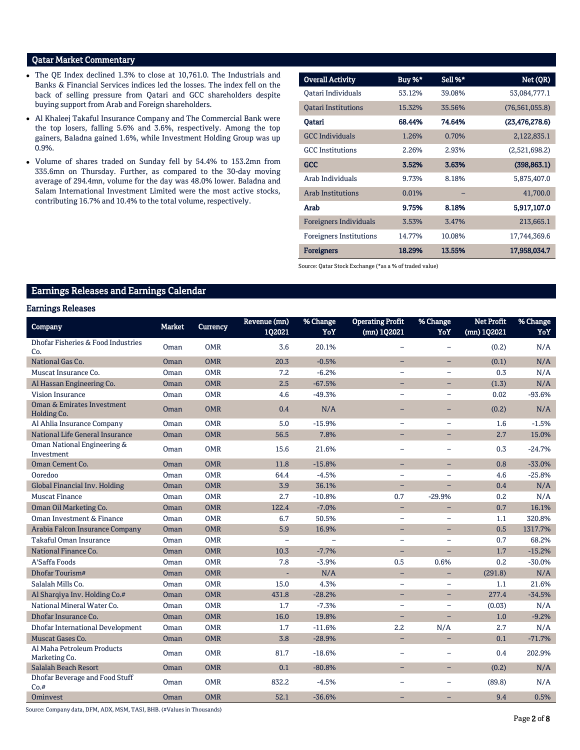# Qatar Market Commentary

- The QE Index declined 1.3% to close at 10,761.0. The Industrials and Banks & Financial Services indices led the losses. The index fell on the back of selling pressure from Qatari and GCC shareholders despite buying support from Arab and Foreign shareholders.
- Al Khaleej Takaful Insurance Company and The Commercial Bank were the top losers, falling 5.6% and 3.6%, respectively. Among the top gainers, Baladna gained 1.6%, while Investment Holding Group was up 0.9%.
- Volume of shares traded on Sunday fell by 54.4% to 153.2mn from 335.6mn on Thursday. Further, as compared to the 30-day moving average of 294.4mn, volume for the day was 48.0% lower. Baladna and Salam International Investment Limited were the most active stocks, contributing 16.7% and 10.4% to the total volume, respectively.

| <b>Overall Activity</b>        | Buy %* | Sell %* | Net (QR)         |
|--------------------------------|--------|---------|------------------|
| Oatari Individuals             | 53.12% | 39.08%  | 53,084,777.1     |
| <b>Oatari Institutions</b>     | 15.32% | 35.56%  | (76, 561, 055.8) |
| Qatari                         | 68.44% | 74.64%  | (23, 476, 278.6) |
| <b>GCC</b> Individuals         | 1.26%  | 0.70%   | 2,122,835.1      |
| <b>GCC</b> Institutions        | 2.26%  | 2.93%   | (2,521,698.2)    |
| <b>GCC</b>                     | 3.52%  | 3.63%   | (398, 863.1)     |
| Arab Individuals               | 9.73%  | 8.18%   | 5,875,407.0      |
| Arab Institutions              | 0.01%  |         | 41,700.0         |
| Arab                           | 9.75%  | 8.18%   | 5,917,107.0      |
| Foreigners Individuals         | 3.53%  | 3.47%   | 213,665.1        |
| <b>Foreigners Institutions</b> | 14.77% | 10.08%  | 17,744,369.6     |
| <b>Foreigners</b>              | 18.29% | 13.55%  | 17,958,034.7     |

Source: Qatar Stock Exchange (\*as a % of traded value)

# Earnings Releases and Earnings Calendar

#### Earnings Releases

| Company                                     | <b>Market</b> | <b>Currency</b> | Revenue (mn)<br>102021   | % Change<br>YoY | <b>Operating Profit</b><br>(mn) 1Q2021 | % Change<br>YoY          | <b>Net Profit</b><br>(mn) 1Q2021 | % Change<br>YoY |
|---------------------------------------------|---------------|-----------------|--------------------------|-----------------|----------------------------------------|--------------------------|----------------------------------|-----------------|
| Dhofar Fisheries & Food Industries<br>Co.   | Oman          | <b>OMR</b>      | 3.6                      | 20.1%           |                                        |                          | (0.2)                            | N/A             |
| National Gas Co.                            | Oman          | <b>OMR</b>      | 20.3                     | $-0.5%$         | -                                      | $\overline{\phantom{0}}$ | (0.1)                            | N/A             |
| Muscat Insurance Co.                        | Oman          | <b>OMR</b>      | 7.2                      | $-6.2%$         | $\equiv$                               | $\equiv$                 | 0.3                              | N/A             |
| Al Hassan Engineering Co.                   | Oman          | <b>OMR</b>      | 2.5                      | $-67.5%$        | $\equiv$                               | $\equiv$                 | (1.3)                            | N/A             |
| <b>Vision Insurance</b>                     | Oman          | <b>OMR</b>      | 4.6                      | $-49.3%$        | ÷,                                     |                          | 0.02                             | $-93.6%$        |
| Oman & Emirates Investment<br>Holding Co.   | Oman          | <b>OMR</b>      | 0.4                      | N/A             | $\overline{\phantom{0}}$               |                          | (0.2)                            | N/A             |
| Al Ahlia Insurance Company                  | Oman          | <b>OMR</b>      | 5.0                      | $-15.9%$        | ÷,                                     | $\overline{\phantom{m}}$ | 1.6                              | $-1.5%$         |
| National Life General Insurance             | Oman          | <b>OMR</b>      | 56.5                     | 7.8%            | ÷                                      |                          | 2.7                              | 15.0%           |
| Oman National Engineering &<br>Investment   | Oman          | <b>OMR</b>      | 15.6                     | 21.6%           |                                        |                          | 0.3                              | $-24.7%$        |
| Oman Cement Co.                             | Oman          | <b>OMR</b>      | 11.8                     | $-15.8%$        | Ξ.                                     | $\overline{\phantom{0}}$ | 0.8                              | $-33.0%$        |
| Ooredoo                                     | Oman          | <b>OMR</b>      | 64.4                     | $-4.5%$         | L,                                     |                          | 4.6                              | $-25.8%$        |
| <b>Global Financial Inv. Holding</b>        | <b>Oman</b>   | <b>OMR</b>      | 3.9                      | 36.1%           | ÷,                                     |                          | 0.4                              | N/A             |
| <b>Muscat Finance</b>                       | Oman          | <b>OMR</b>      | 2.7                      | $-10.8%$        | 0.7                                    | $-29.9%$                 | 0.2                              | N/A             |
| Oman Oil Marketing Co.                      | Oman          | <b>OMR</b>      | 122.4                    | $-7.0%$         | ÷,                                     |                          | 0.7                              | 16.1%           |
| Oman Investment & Finance                   | Oman          | <b>OMR</b>      | 6.7                      | 50.5%           | $\overline{\phantom{0}}$               | $\overline{\phantom{m}}$ | 1.1                              | 320.8%          |
| Arabia Falcon Insurance Company             | Oman          | <b>OMR</b>      | 5.9                      | 16.9%           | -                                      | -                        | 0.5                              | 1317.7%         |
| Takaful Oman Insurance                      | Oman          | <b>OMR</b>      | $\overline{\phantom{0}}$ |                 | ÷,                                     | $\equiv$                 | 0.7                              | 68.2%           |
| National Finance Co.                        | <b>Oman</b>   | <b>OMR</b>      | 10.3                     | $-7.7%$         | $\equiv$                               | $\equiv$                 | 1.7                              | $-15.2%$        |
| A'Saffa Foods                               | Oman          | <b>OMR</b>      | 7.8                      | $-3.9%$         | 0.5                                    | 0.6%                     | 0.2                              | $-30.0%$        |
| Dhofar Tourism#                             | Oman          | <b>OMR</b>      | ÷.                       | N/A             | ÷,                                     | ÷                        | (291.8)                          | N/A             |
| Salalah Mills Co.                           | Oman          | <b>OMR</b>      | 15.0                     | 4.3%            | $\equiv$                               |                          | 1.1                              | 21.6%           |
| Al Sharqiya Inv. Holding Co.#               | Oman          | <b>OMR</b>      | 431.8                    | $-28.2%$        | ÷.                                     | $\equiv$                 | 277.4                            | $-34.5%$        |
| National Mineral Water Co.                  | Oman          | <b>OMR</b>      | 1.7                      | $-7.3%$         | $\equiv$                               | $\equiv$                 | (0.03)                           | N/A             |
| Dhofar Insurance Co.                        | Oman          | <b>OMR</b>      | 16.0                     | 19.8%           | ÷.                                     | $\equiv$                 | 1.0                              | $-9.2%$         |
| <b>Dhofar International Development</b>     | Oman          | <b>OMR</b>      | 1.7                      | $-11.6%$        | 2.2                                    | N/A                      | 2.7                              | N/A             |
| Muscat Gases Co.                            | <b>Oman</b>   | <b>OMR</b>      | 3.8                      | $-28.9%$        | ÷                                      |                          | 0.1                              | $-71.7%$        |
| Al Maha Petroleum Products<br>Marketing Co. | Oman          | <b>OMR</b>      | 81.7                     | $-18.6%$        | $\equiv$                               |                          | 0.4                              | 202.9%          |
| Salalah Beach Resort                        | Oman          | <b>OMR</b>      | 0.1                      | $-80.8%$        | ÷                                      | $\overline{\phantom{0}}$ | (0.2)                            | N/A             |
| Dhofar Beverage and Food Stuff<br>Co.#      | Oman          | <b>OMR</b>      | 832.2                    | $-4.5%$         | $\overline{\phantom{0}}$               |                          | (89.8)                           | N/A             |
| Ominvest                                    | <b>Oman</b>   | <b>OMR</b>      | 52.1                     | $-36.6%$        | -                                      | $\overline{\phantom{0}}$ | 9.4                              | 0.5%            |

Source: Company data, DFM, ADX, MSM, TASI, BHB. (#Values in Thousands)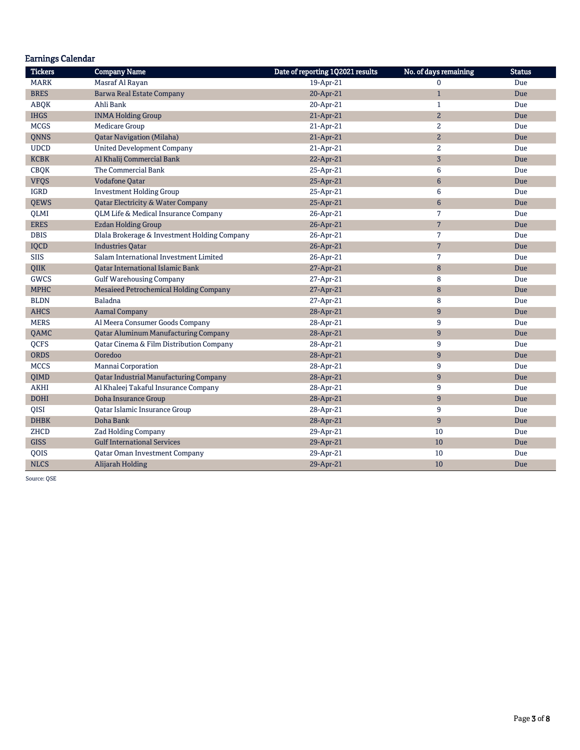| <b>Earnings Calendar</b> |                                               |                                  |                       |               |
|--------------------------|-----------------------------------------------|----------------------------------|-----------------------|---------------|
| <b>Tickers</b>           | <b>Company Name</b>                           | Date of reporting 1Q2021 results | No. of days remaining | <b>Status</b> |
| <b>MARK</b>              | Masraf Al Rayan                               | 19-Apr-21                        | $\Omega$              | Due           |
| <b>BRES</b>              | <b>Barwa Real Estate Company</b>              | 20-Apr-21                        | $\mathbf{1}$          | Due           |
| <b>ABQK</b>              | Ahli Bank                                     | 20-Apr-21                        | $\mathbf{1}$          | Due           |
| <b>IHGS</b>              | <b>INMA Holding Group</b>                     | 21-Apr-21                        | $\overline{2}$        | Due           |
| <b>MCGS</b>              | <b>Medicare Group</b>                         | 21-Apr-21                        | 2                     | Due           |
| <b>ONNS</b>              | <b>Qatar Navigation (Milaha)</b>              | 21-Apr-21                        | $\overline{a}$        | Due           |
| <b>UDCD</b>              | <b>United Development Company</b>             | 21-Apr-21                        | $\overline{2}$        | Due           |
| KCBK                     | Al Khalij Commercial Bank                     | 22-Apr-21                        | $\overline{3}$        | Due           |
| <b>CBQK</b>              | The Commercial Bank                           | 25-Apr-21                        | 6                     | Due           |
| <b>VFQS</b>              | <b>Vodafone Qatar</b>                         | 25-Apr-21                        | $6\phantom{1}$        | Due           |
| IGRD                     | <b>Investment Holding Group</b>               | 25-Apr-21                        | 6                     | Due           |
| <b>QEWS</b>              | <b>Qatar Electricity &amp; Water Company</b>  | 25-Apr-21                        | $\boldsymbol{6}$      | Due           |
| QLMI                     | QLM Life & Medical Insurance Company          | 26-Apr-21                        | 7                     | Due           |
| <b>ERES</b>              | <b>Ezdan Holding Group</b>                    | 26-Apr-21                        | $\overline{7}$        | Due           |
| <b>DBIS</b>              | Dlala Brokerage & Investment Holding Company  | 26-Apr-21                        | 7                     | Due           |
| IQCD                     | <b>Industries Oatar</b>                       | 26-Apr-21                        | $\overline{7}$        | Due           |
| <b>SIIS</b>              | Salam International Investment Limited        | 26-Apr-21                        | 7                     | Due           |
| QIIK                     | <b>Oatar International Islamic Bank</b>       | 27-Apr-21                        | 8                     | Due           |
| <b>GWCS</b>              | <b>Gulf Warehousing Company</b>               | 27-Apr-21                        | 8                     | Due           |
| <b>MPHC</b>              | Mesaieed Petrochemical Holding Company        | 27-Apr-21                        | 8                     | Due           |
| <b>BLDN</b>              | Baladna                                       | 27-Apr-21                        | 8                     | Due           |
| <b>AHCS</b>              | <b>Aamal Company</b>                          | 28-Apr-21                        | $\overline{9}$        | Due           |
| <b>MERS</b>              | Al Meera Consumer Goods Company               | 28-Apr-21                        | 9                     | Due           |
| QAMC                     | <b>Qatar Aluminum Manufacturing Company</b>   | 28-Apr-21                        | $9\,$                 | Due           |
| <b>OCFS</b>              | Qatar Cinema & Film Distribution Company      | 28-Apr-21                        | 9                     | Due           |
| <b>ORDS</b>              | Ooredoo                                       | 28-Apr-21                        | $\overline{9}$        | Due           |
| <b>MCCS</b>              | Mannai Corporation                            | 28-Apr-21                        | 9                     | Due           |
| QIMD                     | <b>Qatar Industrial Manufacturing Company</b> | 28-Apr-21                        | $\overline{9}$        | Due           |
| <b>AKHI</b>              | Al Khaleej Takaful Insurance Company          | 28-Apr-21                        | 9                     | Due           |
| <b>DOHI</b>              | Doha Insurance Group                          | 28-Apr-21                        | 9                     | Due           |
| QISI                     | Qatar Islamic Insurance Group                 | 28-Apr-21                        | 9                     | Due           |
| <b>DHBK</b>              | Doha Bank                                     | 28-Apr-21                        | 9                     | Due           |
| ZHCD                     | Zad Holding Company                           | 29-Apr-21                        | 10                    | Due           |
| <b>GISS</b>              | <b>Gulf International Services</b>            | 29-Apr-21                        | 10                    | Due           |
| QOIS                     | <b>Qatar Oman Investment Company</b>          | 29-Apr-21                        | 10                    | Due           |
| <b>NLCS</b>              | Alijarah Holding                              | 29-Apr-21                        | 10                    | Due           |

Source: QSE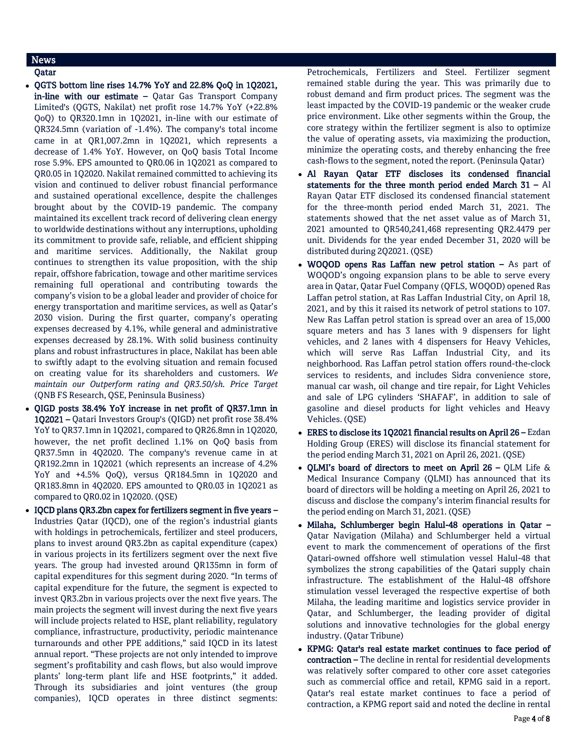# **News**

## Qatar

- QGTS bottom line rises 14.7% YoY and 22.8% QoQ in 1Q2021, in-line with our estimate – Qatar Gas Transport Company Limited's (QGTS, Nakilat) net profit rose 14.7% YoY (+22.8% QoQ) to QR320.1mn in 1Q2021, in-line with our estimate of QR324.5mn (variation of -1.4%). The company's total income came in at QR1,007.2mn in 1Q2021, which represents a decrease of 1.4% YoY. However, on QoQ basis Total Income rose 5.9%. EPS amounted to QR0.06 in 1Q2021 as compared to QR0.05 in 1Q2020. Nakilat remained committed to achieving its vision and continued to deliver robust financial performance and sustained operational excellence, despite the challenges brought about by the COVID-19 pandemic. The company maintained its excellent track record of delivering clean energy to worldwide destinations without any interruptions, upholding its commitment to provide safe, reliable, and efficient shipping and maritime services. Additionally, the Nakilat group continues to strengthen its value proposition, with the ship repair, offshore fabrication, towage and other maritime services remaining full operational and contributing towards the company's vision to be a global leader and provider of choice for energy transportation and maritime services, as well as Qatar's 2030 vision. During the first quarter, company's operating expenses decreased by 4.1%, while general and administrative expenses decreased by 28.1%. With solid business continuity plans and robust infrastructures in place, Nakilat has been able to swiftly adapt to the evolving situation and remain focused on creating value for its shareholders and customers. *We maintain our Outperform rating and QR3.50/sh. Price Target* (QNB FS Research, QSE, Peninsula Business)
- QIGD posts 38.4% YoY increase in net profit of QR37.1mn in 1Q2021 – Qatari Investors Group's (QIGD) net profit rose 38.4% YoY to QR37.1mn in 1Q2021, compared to QR26.8mn in 1Q2020, however, the net profit declined 1.1% on QoQ basis from QR37.5mn in 4Q2020. The company's revenue came in at QR192.2mn in 1Q2021 (which represents an increase of 4.2% YoY and +4.5% QoQ), versus QR184.5mn in 1Q2020 and QR183.8mn in 4Q2020. EPS amounted to QR0.03 in 1Q2021 as compared to QR0.02 in 1Q2020. (QSE)
- IQCD plans QR3.2bn capex for fertilizers segment in five years Industries Qatar (IQCD), one of the region's industrial giants with holdings in petrochemicals, fertilizer and steel producers, plans to invest around QR3.2bn as capital expenditure (capex) in various projects in its fertilizers segment over the next five years. The group had invested around QR135mn in form of capital expenditures for this segment during 2020. "In terms of capital expenditure for the future, the segment is expected to invest QR3.2bn in various projects over the next five years. The main projects the segment will invest during the next five years will include projects related to HSE, plant reliability, regulatory compliance, infrastructure, productivity, periodic maintenance turnarounds and other PPE additions," said IQCD in its latest annual report. "These projects are not only intended to improve segment's profitability and cash flows, but also would improve plants' long-term plant life and HSE footprints," it added. Through its subsidiaries and joint ventures (the group companies), IQCD operates in three distinct segments:

Petrochemicals, Fertilizers and Steel. Fertilizer segment remained stable during the year. This was primarily due to robust demand and firm product prices. The segment was the least impacted by the COVID-19 pandemic or the weaker crude price environment. Like other segments within the Group, the core strategy within the fertilizer segment is also to optimize the value of operating assets, via maximizing the production, minimize the operating costs, and thereby enhancing the free cash-flows to the segment, noted the report. (Peninsula Qatar)

- Al Rayan Qatar ETF discloses its condensed financial statements for the three month period ended March 31 – Al Rayan Qatar ETF disclosed its condensed financial statement for the three-month period ended March 31, 2021. The statements showed that the net asset value as of March 31, 2021 amounted to QR540,241,468 representing QR2.4479 per unit. Dividends for the year ended December 31, 2020 will be distributed during 2Q2021. (QSE)
- WOQOD opens Ras Laffan new petrol station As part of WOQOD's ongoing expansion plans to be able to serve every area in Qatar, Qatar Fuel Company (QFLS, WOQOD) opened Ras Laffan petrol station, at Ras Laffan Industrial City, on April 18, 2021, and by this it raised its network of petrol stations to 107. New Ras Laffan petrol station is spread over an area of 15,000 square meters and has 3 lanes with 9 dispensers for light vehicles, and 2 lanes with 4 dispensers for Heavy Vehicles, which will serve Ras Laffan Industrial City, and its neighborhood. Ras Laffan petrol station offers round-the-clock services to residents, and includes Sidra convenience store, manual car wash, oil change and tire repair, for Light Vehicles and sale of LPG cylinders 'SHAFAF', in addition to sale of gasoline and diesel products for light vehicles and Heavy Vehicles. (QSE)
- ERES to disclose its 1Q2021 financial results on April 26 Ezdan Holding Group (ERES) will disclose its financial statement for the period ending March 31, 2021 on April 26, 2021. (QSE)
- QLMI's board of directors to meet on April 26 QLM Life & Medical Insurance Company (QLMI) has announced that its board of directors will be holding a meeting on April 26, 2021 to discuss and disclose the company's interim financial results for the period ending on March 31, 2021. (QSE)
- Milaha, Schlumberger begin Halul-48 operations in Qatar Qatar Navigation (Milaha) and Schlumberger held a virtual event to mark the commencement of operations of the first Qatari-owned offshore well stimulation vessel Halul-48 that symbolizes the strong capabilities of the Qatari supply chain infrastructure. The establishment of the Halul-48 offshore stimulation vessel leveraged the respective expertise of both Milaha, the leading maritime and logistics service provider in Qatar, and Schlumberger, the leading provider of digital solutions and innovative technologies for the global energy industry. (Qatar Tribune)
- KPMG: Qatar's real estate market continues to face period of contraction – The decline in rental for residential developments was relatively softer compared to other core asset categories such as commercial office and retail, KPMG said in a report. Qatar's real estate market continues to face a period of contraction, a KPMG report said and noted the decline in rental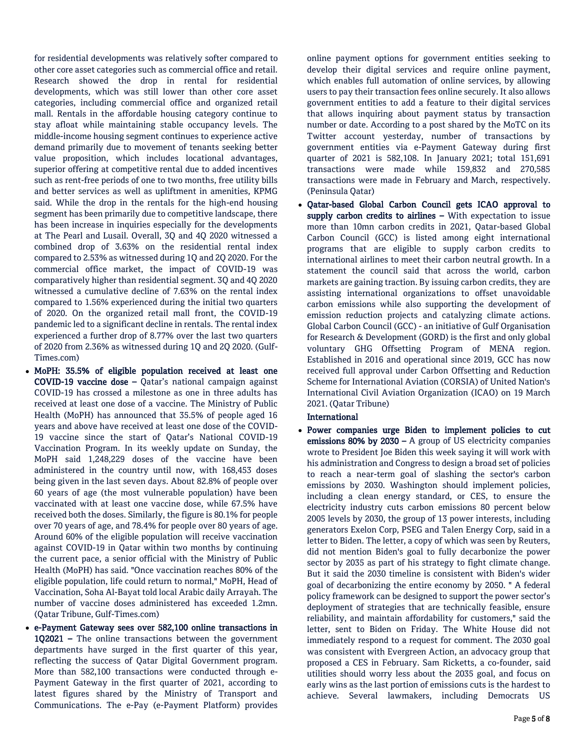for residential developments was relatively softer compared to other core asset categories such as commercial office and retail. Research showed the drop in rental for residential developments, which was still lower than other core asset categories, including commercial office and organized retail mall. Rentals in the affordable housing category continue to stay afloat while maintaining stable occupancy levels. The middle-income housing segment continues to experience active demand primarily due to movement of tenants seeking better value proposition, which includes locational advantages, superior offering at competitive rental due to added incentives such as rent-free periods of one to two months, free utility bills and better services as well as upliftment in amenities, KPMG said. While the drop in the rentals for the high-end housing segment has been primarily due to competitive landscape, there has been increase in inquiries especially for the developments at The Pearl and Lusail. Overall, 3Q and 4Q 2020 witnessed a combined drop of 3.63% on the residential rental index compared to 2.53% as witnessed during 1Q and 2Q 2020. For the commercial office market, the impact of COVID-19 was comparatively higher than residential segment. 3Q and 4Q 2020 witnessed a cumulative decline of 7.63% on the rental index compared to 1.56% experienced during the initial two quarters of 2020. On the organized retail mall front, the COVID-19 pandemic led to a significant decline in rentals. The rental index experienced a further drop of 8.77% over the last two quarters of 2020 from 2.36% as witnessed during 1Q and 2Q 2020. (Gulf-Times.com)

- MoPH: 35.5% of eligible population received at least one COVID-19 vaccine dose – Qatar's national campaign against COVID-19 has crossed a milestone as one in three adults has received at least one dose of a vaccine. The Ministry of Public Health (MoPH) has announced that 35.5% of people aged 16 years and above have received at least one dose of the COVID-19 vaccine since the start of Qatar's National COVID-19 Vaccination Program. In its weekly update on Sunday, the MoPH said 1,248,229 doses of the vaccine have been administered in the country until now, with 168,453 doses being given in the last seven days. About 82.8% of people over 60 years of age (the most vulnerable population) have been vaccinated with at least one vaccine dose, while 67.5% have received both the doses. Similarly, the figure is 80.1% for people over 70 years of age, and 78.4% for people over 80 years of age. Around 60% of the eligible population will receive vaccination against COVID-19 in Qatar within two months by continuing the current pace, a senior official with the Ministry of Public Health (MoPH) has said. "Once vaccination reaches 80% of the eligible population, life could return to normal," MoPH, Head of Vaccination, Soha Al-Bayat told local Arabic daily Arrayah. The number of vaccine doses administered has exceeded 1.2mn. (Qatar Tribune, Gulf-Times.com)
- e-Payment Gateway sees over 582,100 online transactions in 1Q2021 – The online transactions between the government departments have surged in the first quarter of this year, reflecting the success of Qatar Digital Government program. More than 582,100 transactions were conducted through e-Payment Gateway in the first quarter of 2021, according to latest figures shared by the Ministry of Transport and Communications. The e-Pay (e-Payment Platform) provides

online payment options for government entities seeking to develop their digital services and require online payment, which enables full automation of online services, by allowing users to pay their transaction fees online securely. It also allows government entities to add a feature to their digital services that allows inquiring about payment status by transaction number or date. According to a post shared by the MoTC on its Twitter account yesterday, number of transactions by government entities via e-Payment Gateway during first quarter of 2021 is 582,108. In January 2021; total 151,691 transactions were made while 159,832 and 270,585 transactions were made in February and March, respectively. (Peninsula Qatar)

 Qatar-based Global Carbon Council gets ICAO approval to supply carbon credits to airlines - With expectation to issue more than 10mn carbon credits in 2021, Qatar-based Global Carbon Council (GCC) is listed among eight international programs that are eligible to supply carbon credits to international airlines to meet their carbon neutral growth. In a statement the council said that across the world, carbon markets are gaining traction. By issuing carbon credits, they are assisting international organizations to offset unavoidable carbon emissions while also supporting the development of emission reduction projects and catalyzing climate actions. Global Carbon Council (GCC) - an initiative of Gulf Organisation for Research & Development (GORD) is the first and only global voluntary GHG Offsetting Program of MENA region. Established in 2016 and operational since 2019, GCC has now received full approval under Carbon Offsetting and Reduction Scheme for International Aviation (CORSIA) of United Nation's International Civil Aviation Organization (ICAO) on 19 March 2021. (Qatar Tribune)

# International

 Power companies urge Biden to implement policies to cut emissions 80% by 2030 – A group of US electricity companies wrote to President Joe Biden this week saying it will work with his administration and Congress to design a broad set of policies to reach a near-term goal of slashing the sector's carbon emissions by 2030. Washington should implement policies, including a clean energy standard, or CES, to ensure the electricity industry cuts carbon emissions 80 percent below 2005 levels by 2030, the group of 13 power interests, including generators Exelon Corp, PSEG and Talen Energy Corp, said in a letter to Biden. The letter, a copy of which was seen by Reuters, did not mention Biden's goal to fully decarbonize the power sector by 2035 as part of his strategy to fight climate change. But it said the 2030 timeline is consistent with Biden's wider goal of decarbonizing the entire economy by 2050. " A federal policy framework can be designed to support the power sector's deployment of strategies that are technically feasible, ensure reliability, and maintain affordability for customers," said the letter, sent to Biden on Friday. The White House did not immediately respond to a request for comment. The 2030 goal was consistent with Evergreen Action, an advocacy group that proposed a CES in February. Sam Ricketts, a co-founder, said utilities should worry less about the 2035 goal, and focus on early wins as the last portion of emissions cuts is the hardest to achieve. Several lawmakers, including Democrats US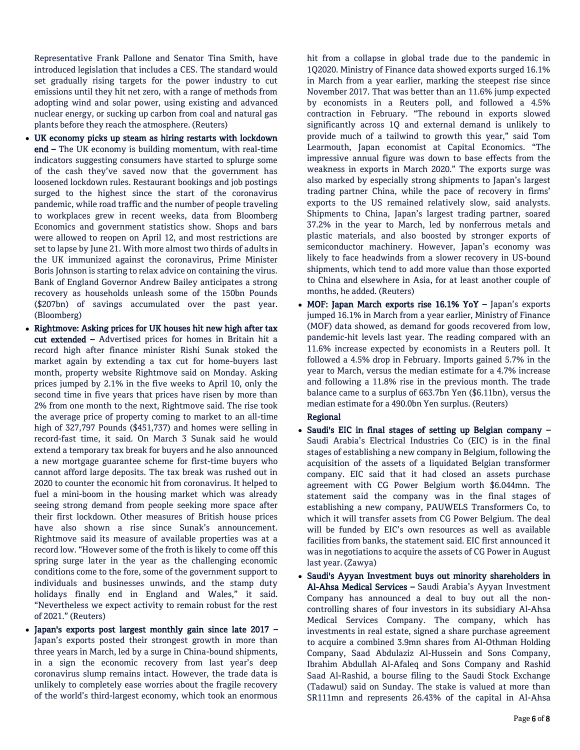Representative Frank Pallone and Senator Tina Smith, have introduced legislation that includes a CES. The standard would set gradually rising targets for the power industry to cut emissions until they hit net zero, with a range of methods from adopting wind and solar power, using existing and advanced nuclear energy, or sucking up carbon from coal and natural gas plants before they reach the atmosphere. (Reuters)

- UK economy picks up steam as hiring restarts with lockdown end – The UK economy is building momentum, with real-time indicators suggesting consumers have started to splurge some of the cash they've saved now that the government has loosened lockdown rules. Restaurant bookings and job postings surged to the highest since the start of the coronavirus pandemic, while road traffic and the number of people traveling to workplaces grew in recent weeks, data from Bloomberg Economics and government statistics show. Shops and bars were allowed to reopen on April 12, and most restrictions are set to lapse by June 21. With more almost two thirds of adults in the UK immunized against the coronavirus, Prime Minister Boris Johnson is starting to relax advice on containing the virus. Bank of England Governor Andrew Bailey anticipates a strong recovery as households unleash some of the 150bn Pounds (\$207bn) of savings accumulated over the past year. (Bloomberg)
- Rightmove: Asking prices for UK houses hit new high after tax cut extended – Advertised prices for homes in Britain hit a record high after finance minister Rishi Sunak stoked the market again by extending a tax cut for home-buyers last month, property website Rightmove said on Monday. Asking prices jumped by 2.1% in the five weeks to April 10, only the second time in five years that prices have risen by more than 2% from one month to the next, Rightmove said. The rise took the average price of property coming to market to an all-time high of 327,797 Pounds (\$451,737) and homes were selling in record-fast time, it said. On March 3 Sunak said he would extend a temporary tax break for buyers and he also announced a new mortgage guarantee scheme for first-time buyers who cannot afford large deposits. The tax break was rushed out in 2020 to counter the economic hit from coronavirus. It helped to fuel a mini-boom in the housing market which was already seeing strong demand from people seeking more space after their first lockdown. Other measures of British house prices have also shown a rise since Sunak's announcement. Rightmove said its measure of available properties was at a record low. "However some of the froth is likely to come off this spring surge later in the year as the challenging economic conditions come to the fore, some of the government support to individuals and businesses unwinds, and the stamp duty holidays finally end in England and Wales," it said. "Nevertheless we expect activity to remain robust for the rest of 2021." (Reuters)
- Japan's exports post largest monthly gain since late 2017 Japan's exports posted their strongest growth in more than three years in March, led by a surge in China-bound shipments, in a sign the economic recovery from last year's deep coronavirus slump remains intact. However, the trade data is unlikely to completely ease worries about the fragile recovery of the world's third-largest economy, which took an enormous

hit from a collapse in global trade due to the pandemic in 1Q2020. Ministry of Finance data showed exports surged 16.1% in March from a year earlier, marking the steepest rise since November 2017. That was better than an 11.6% jump expected by economists in a Reuters poll, and followed a 4.5% contraction in February. "The rebound in exports slowed significantly across 1Q and external demand is unlikely to provide much of a tailwind to growth this year," said Tom Learmouth, Japan economist at Capital Economics. "The impressive annual figure was down to base effects from the weakness in exports in March 2020." The exports surge was also marked by especially strong shipments to Japan's largest trading partner China, while the pace of recovery in firms' exports to the US remained relatively slow, said analysts. Shipments to China, Japan's largest trading partner, soared 37.2% in the year to March, led by nonferrous metals and plastic materials, and also boosted by stronger exports of semiconductor machinery. However, Japan's economy was likely to face headwinds from a slower recovery in US-bound shipments, which tend to add more value than those exported to China and elsewhere in Asia, for at least another couple of months, he added. (Reuters)

• MOF: Japan March exports rise 16.1% YoY - Japan's exports jumped 16.1% in March from a year earlier, Ministry of Finance (MOF) data showed, as demand for goods recovered from low, pandemic-hit levels last year. The reading compared with an 11.6% increase expected by economists in a Reuters poll. It followed a 4.5% drop in February. Imports gained 5.7% in the year to March, versus the median estimate for a 4.7% increase and following a 11.8% rise in the previous month. The trade balance came to a surplus of 663.7bn Yen (\$6.11bn), versus the median estimate for a 490.0bn Yen surplus. (Reuters)

### Regional

- Saudi's EIC in final stages of setting up Belgian company Saudi Arabia's Electrical Industries Co (EIC) is in the final stages of establishing a new company in Belgium, following the acquisition of the assets of a liquidated Belgian transformer company. EIC said that it had closed an assets purchase agreement with CG Power Belgium worth \$6.044mn. The statement said the company was in the final stages of establishing a new company, PAUWELS Transformers Co, to which it will transfer assets from CG Power Belgium. The deal will be funded by EIC's own resources as well as available facilities from banks, the statement said. EIC first announced it was in negotiations to acquire the assets of CG Power in August last year. (Zawya)
- Saudi's Ayyan Investment buys out minority shareholders in Al-Ahsa Medical Services – Saudi Arabia's Ayyan Investment Company has announced a deal to buy out all the noncontrolling shares of four investors in its subsidiary Al-Ahsa Medical Services Company. The company, which has investments in real estate, signed a share purchase agreement to acquire a combined 3.9mn shares from Al-Othman Holding Company, Saad Abdulaziz Al-Hussein and Sons Company, Ibrahim Abdullah Al-Afaleq and Sons Company and Rashid Saad Al-Rashid, a bourse filing to the Saudi Stock Exchange (Tadawul) said on Sunday. The stake is valued at more than SR111mn and represents 26.43% of the capital in Al-Ahsa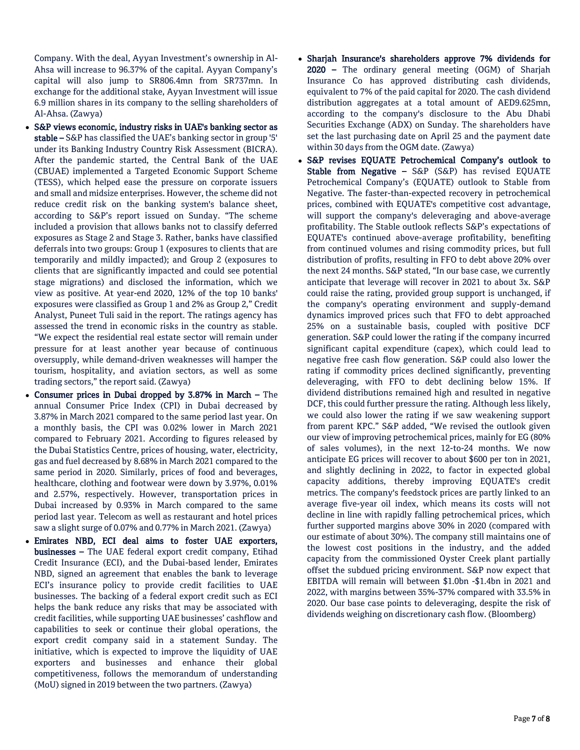Company. With the deal, Ayyan Investment's ownership in Al-Ahsa will increase to 96.37% of the capital. Ayyan Company's capital will also jump to SR806.4mn from SR737mn. In exchange for the additional stake, Ayyan Investment will issue 6.9 million shares in its company to the selling shareholders of Al-Ahsa. (Zawya)

- S&P views economic, industry risks in UAE's banking sector as stable – S&P has classified the UAE's banking sector in group '5' under its Banking Industry Country Risk Assessment (BICRA). After the pandemic started, the Central Bank of the UAE (CBUAE) implemented a Targeted Economic Support Scheme (TESS), which helped ease the pressure on corporate issuers and small and midsize enterprises. However, the scheme did not reduce credit risk on the banking system's balance sheet, according to S&P's report issued on Sunday. "The scheme included a provision that allows banks not to classify deferred exposures as Stage 2 and Stage 3. Rather, banks have classified deferrals into two groups: Group 1 (exposures to clients that are temporarily and mildly impacted); and Group 2 (exposures to clients that are significantly impacted and could see potential stage migrations) and disclosed the information, which we view as positive. At year-end 2020, 12% of the top 10 banks' exposures were classified as Group 1 and 2% as Group 2," Credit Analyst, Puneet Tuli said in the report. The ratings agency has assessed the trend in economic risks in the country as stable. "We expect the residential real estate sector will remain under pressure for at least another year because of continuous oversupply, while demand-driven weaknesses will hamper the tourism, hospitality, and aviation sectors, as well as some trading sectors," the report said. (Zawya)
- Consumer prices in Dubai dropped by 3.87% in March The annual Consumer Price Index (CPI) in Dubai decreased by 3.87% in March 2021 compared to the same period last year. On a monthly basis, the CPI was 0.02% lower in March 2021 compared to February 2021. According to figures released by the Dubai Statistics Centre, prices of housing, water, electricity, gas and fuel decreased by 8.68% in March 2021 compared to the same period in 2020. Similarly, prices of food and beverages, healthcare, clothing and footwear were down by 3.97%, 0.01% and 2.57%, respectively. However, transportation prices in Dubai increased by 0.93% in March compared to the same period last year. Telecom as well as restaurant and hotel prices saw a slight surge of 0.07% and 0.77% in March 2021. (Zawya)
- Emirates NBD, ECI deal aims to foster UAE exporters, businesses – The UAE federal export credit company, Etihad Credit Insurance (ECI), and the Dubai-based lender, Emirates NBD, signed an agreement that enables the bank to leverage ECI's insurance policy to provide credit facilities to UAE businesses. The backing of a federal export credit such as ECI helps the bank reduce any risks that may be associated with credit facilities, while supporting UAE businesses' cashflow and capabilities to seek or continue their global operations, the export credit company said in a statement Sunday. The initiative, which is expected to improve the liquidity of UAE exporters and businesses and enhance their global competitiveness, follows the memorandum of understanding (MoU) signed in 2019 between the two partners. (Zawya)
- Sharjah Insurance's shareholders approve 7% dividends for 2020 – The ordinary general meeting (OGM) of Sharjah Insurance Co has approved distributing cash dividends, equivalent to 7% of the paid capital for 2020. The cash dividend distribution aggregates at a total amount of AED9.625mn, according to the company's disclosure to the Abu Dhabi Securities Exchange (ADX) on Sunday. The shareholders have set the last purchasing date on April 25 and the payment date within 30 days from the OGM date. (Zawya)
- S&P revises EQUATE Petrochemical Company's outlook to Stable from Negative – S&P (S&P) has revised EQUATE Petrochemical Company's (EQUATE) outlook to Stable from Negative. The faster-than-expected recovery in petrochemical prices, combined with EQUATE's competitive cost advantage, will support the company's deleveraging and above-average profitability. The Stable outlook reflects S&P's expectations of EQUATE's continued above-average profitability, benefiting from continued volumes and rising commodity prices, but full distribution of profits, resulting in FFO to debt above 20% over the next 24 months. S&P stated, "In our base case, we currently anticipate that leverage will recover in 2021 to about 3x. S&P could raise the rating, provided group support is unchanged, if the company's operating environment and supply-demand dynamics improved prices such that FFO to debt approached 25% on a sustainable basis, coupled with positive DCF generation. S&P could lower the rating if the company incurred significant capital expenditure (capex), which could lead to negative free cash flow generation. S&P could also lower the rating if commodity prices declined significantly, preventing deleveraging, with FFO to debt declining below 15%. If dividend distributions remained high and resulted in negative DCF, this could further pressure the rating. Although less likely, we could also lower the rating if we saw weakening support from parent KPC." S&P added, "We revised the outlook given our view of improving petrochemical prices, mainly for EG (80% of sales volumes), in the next 12-to-24 months. We now anticipate EG prices will recover to about \$600 per ton in 2021, and slightly declining in 2022, to factor in expected global capacity additions, thereby improving EQUATE's credit metrics. The company's feedstock prices are partly linked to an average five-year oil index, which means its costs will not decline in line with rapidly falling petrochemical prices, which further supported margins above 30% in 2020 (compared with our estimate of about 30%). The company still maintains one of the lowest cost positions in the industry, and the added capacity from the commissioned Oyster Creek plant partially offset the subdued pricing environment. S&P now expect that EBITDA will remain will between \$1.0bn -\$1.4bn in 2021 and 2022, with margins between 35%-37% compared with 33.5% in 2020. Our base case points to deleveraging, despite the risk of dividends weighing on discretionary cash flow. (Bloomberg)